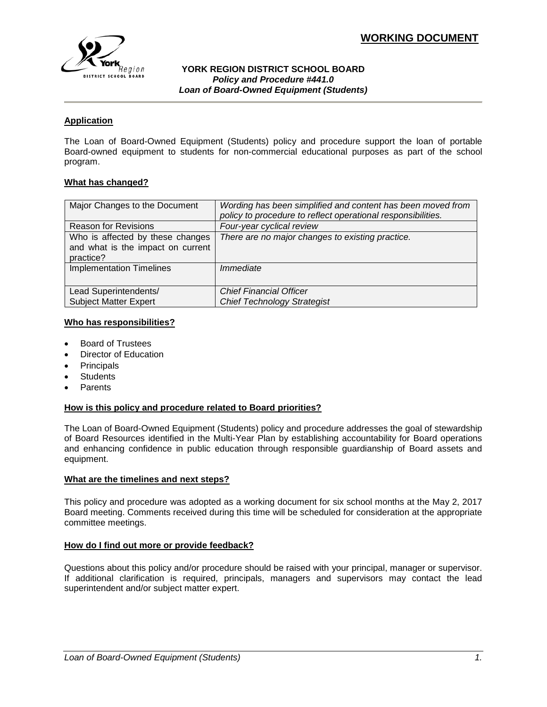

#### **YORK REGION DISTRICT SCHOOL BOARD** *Policy and Procedure #441.0 Loan of Board-Owned Equipment (Students)*

# **Application**

The Loan of Board-Owned Equipment (Students) policy and procedure support the loan of portable Board-owned equipment to students for non-commercial educational purposes as part of the school program.

#### **What has changed?**

| Major Changes to the Document                                                      | Wording has been simplified and content has been moved from<br>policy to procedure to reflect operational responsibilities. |
|------------------------------------------------------------------------------------|-----------------------------------------------------------------------------------------------------------------------------|
| <b>Reason for Revisions</b>                                                        | Four-year cyclical review                                                                                                   |
| Who is affected by these changes<br>and what is the impact on current<br>practice? | There are no major changes to existing practice.                                                                            |
| <b>Implementation Timelines</b>                                                    | Immediate                                                                                                                   |
| Lead Superintendents/                                                              | <b>Chief Financial Officer</b>                                                                                              |
| <b>Subject Matter Expert</b>                                                       | <b>Chief Technology Strategist</b>                                                                                          |

#### **Who has responsibilities?**

- Board of Trustees
- Director of Education
- **Principals**
- **Students**
- Parents

#### **How is this policy and procedure related to Board priorities?**

The Loan of Board-Owned Equipment (Students) policy and procedure addresses the goal of stewardship of Board Resources identified in the Multi-Year Plan by establishing accountability for Board operations and enhancing confidence in public education through responsible guardianship of Board assets and equipment.

#### **What are the timelines and next steps?**

This policy and procedure was adopted as a working document for six school months at the May 2, 2017 Board meeting. Comments received during this time will be scheduled for consideration at the appropriate committee meetings.

## **How do I find out more or provide feedback?**

Questions about this policy and/or procedure should be raised with your principal, manager or supervisor. If additional clarification is required, principals, managers and supervisors may contact the lead superintendent and/or subject matter expert.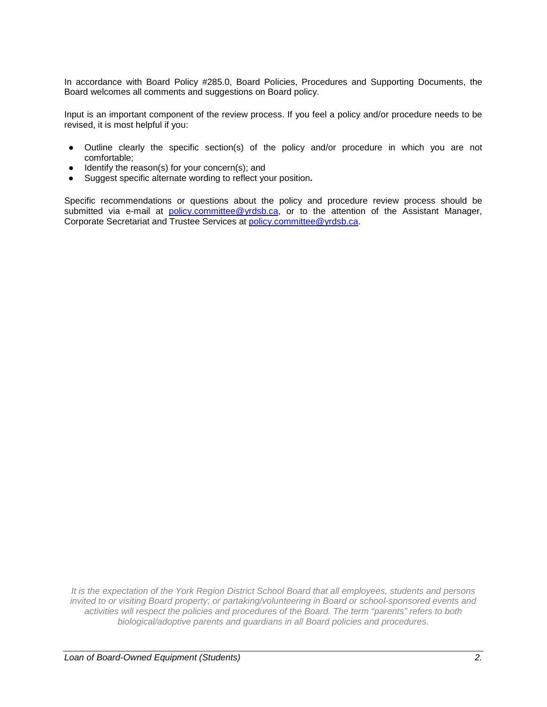In accordance with Board Policy #285.0, Board Policies, Procedures and Supporting Documents, the Board welcomes all comments and suggestions on Board policy.

Input is an important component of the review process. If you feel a policy and/or procedure needs to be revised, it is most helpful if you:

- Outline clearly the specific section(s) of the policy and/or procedure in which you are not comfortable;
- Identify the reason(s) for your concern(s); and
- Suggest specific alternate wording to reflect your position**.**

Specific recommendations or questions about the policy and procedure review process should be submitted via e-mail at [policy.committee@yrdsb.ca,](mailto:policy.committee@yrdsb.ca) or to the attention of the Assistant Manager, Corporate Secretariat and Trustee Services at [policy.committee@yrdsb.ca.](mailto:policy.committee@yrdsb.ca)

*It is the expectation of the York Region District School Board that all employees, students and persons invited to or visiting Board property; or partaking/volunteering in Board or school-sponsored events and activities will respect the policies and procedures of the Board. The term "parents" refers to both biological/adoptive parents and guardians in all Board policies and procedures.*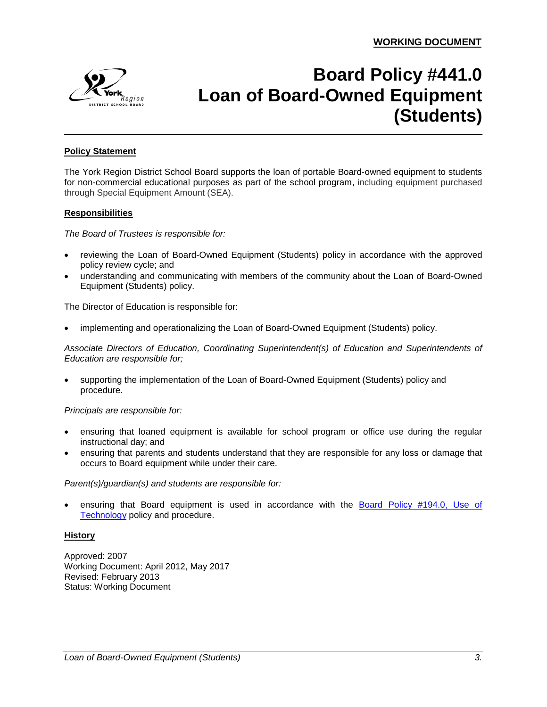

# **Board Policy #441.0 Loan of Board-Owned Equipment (Students)**

## **Policy Statement**

The York Region District School Board supports the loan of portable Board-owned equipment to students for non-commercial educational purposes as part of the school program, including equipment purchased through Special Equipment Amount (SEA).

#### **Responsibilities**

*The Board of Trustees is responsible for:*

- reviewing the Loan of Board-Owned Equipment (Students) policy in accordance with the approved policy review cycle; and
- understanding and communicating with members of the community about the Loan of Board-Owned Equipment (Students) policy.

The Director of Education is responsible for:

• implementing and operationalizing the Loan of Board-Owned Equipment (Students) policy.

*Associate Directors of Education, Coordinating Superintendent(s) of Education and Superintendents of Education are responsible for;* 

• supporting the implementation of the Loan of Board-Owned Equipment (Students) policy and procedure.

*Principals are responsible for:*

- ensuring that loaned equipment is available for school program or office use during the regular instructional day; and
- ensuring that parents and students understand that they are responsible for any loss or damage that occurs to Board equipment while under their care.

*Parent(s)/guardian(s) and students are responsible for:*

ensuring that Board equipment is used in accordance with the **Board Policy #194.0**, Use of [Technology](http://www.yrdsb.ca/boarddocs/Documents/PP-appropriateuse-194.pdf) policy and procedure.

#### **History**

Approved: 2007 Working Document: April 2012, May 2017 Revised: February 2013 Status: Working Document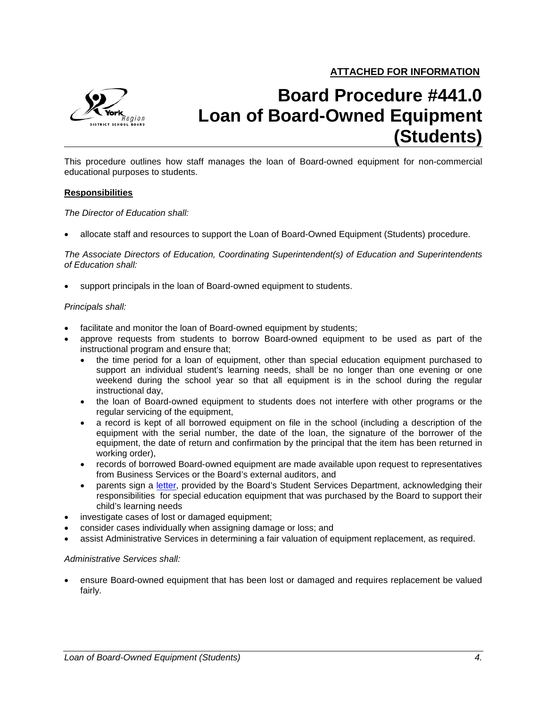

# **Board Procedure #441.0 Loan of Board-Owned Equipment (Students)**

This procedure outlines how staff manages the loan of Board-owned equipment for non-commercial educational purposes to students.

#### **Responsibilities**

*The Director of Education shall:*

• allocate staff and resources to support the Loan of Board-Owned Equipment (Students) procedure.

*The Associate Directors of Education, Coordinating Superintendent(s) of Education and Superintendents of Education shall:*

support principals in the loan of Board-owned equipment to students.

#### *Principals shall:*

- facilitate and monitor the loan of Board-owned equipment by students;
- approve requests from students to borrow Board-owned equipment to be used as part of the instructional program and ensure that;
	- the time period for a loan of equipment, other than special education equipment purchased to support an individual student's learning needs, shall be no longer than one evening or one weekend during the school year so that all equipment is in the school during the regular instructional day,
	- the loan of Board-owned equipment to students does not interfere with other programs or the regular servicing of the equipment,
	- a record is kept of all borrowed equipment on file in the school (including a description of the equipment with the serial number, the date of the loan, the signature of the borrower of the equipment, the date of return and confirmation by the principal that the item has been returned in working order),
	- records of borrowed Board-owned equipment are made available upon request to representatives from Business Services or the Board's external auditors, and
	- parents sign a [letter,](https://bww.yrdsb.ca/services/student/sea/Documents/SEA%20Manual/SEA%20Equipment%20Loan%20Letter.pdf) provided by the Board's Student Services Department, acknowledging their responsibilities for special education equipment that was purchased by the Board to support their child's learning needs
- investigate cases of lost or damaged equipment;
- consider cases individually when assigning damage or loss; and
- assist Administrative Services in determining a fair valuation of equipment replacement, as required.

#### *Administrative Services shall:*

• ensure Board-owned equipment that has been lost or damaged and requires replacement be valued fairly.